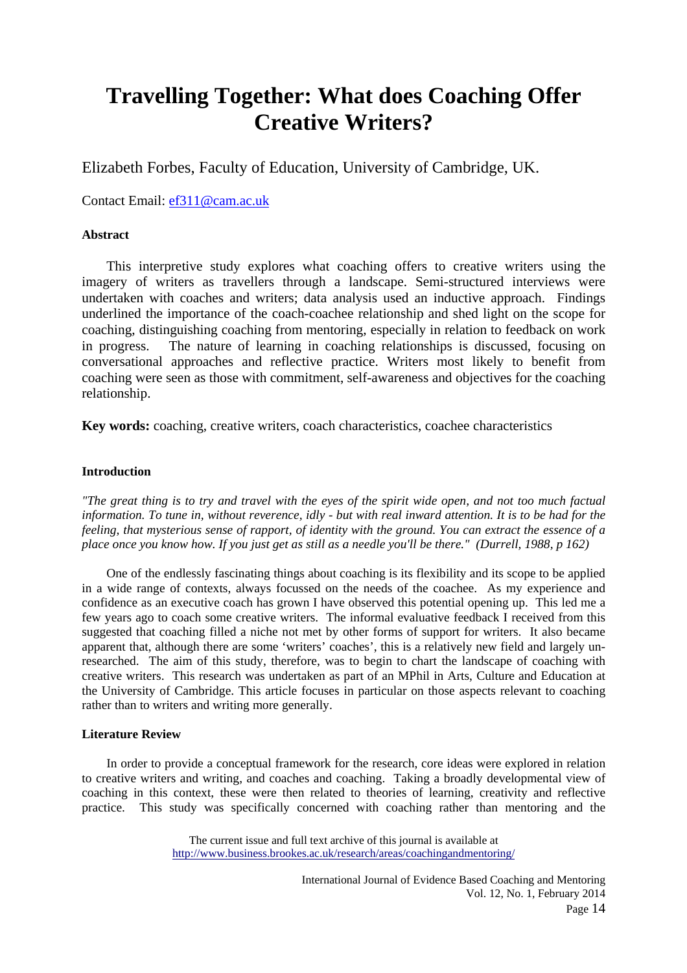# **Travelling Together: What does Coaching Offer Creative Writers?**

Elizabeth Forbes, Faculty of Education, University of Cambridge, UK.

Contact Email: ef311@cam.ac.uk

# **Abstract**

 This interpretive study explores what coaching offers to creative writers using the imagery of writers as travellers through a landscape. Semi-structured interviews were undertaken with coaches and writers; data analysis used an inductive approach. Findings underlined the importance of the coach-coachee relationship and shed light on the scope for coaching, distinguishing coaching from mentoring, especially in relation to feedback on work in progress. The nature of learning in coaching relationships is discussed, focusing on conversational approaches and reflective practice. Writers most likely to benefit from coaching were seen as those with commitment, self-awareness and objectives for the coaching relationship.

**Key words:** coaching, creative writers, coach characteristics, coachee characteristics

# **Introduction**

*"The great thing is to try and travel with the eyes of the spirit wide open, and not too much factual information. To tune in, without reverence, idly - but with real inward attention. It is to be had for the feeling, that mysterious sense of rapport, of identity with the ground. You can extract the essence of a place once you know how. If you just get as still as a needle you'll be there." (Durrell, 1988, p 162)*

 One of the endlessly fascinating things about coaching is its flexibility and its scope to be applied in a wide range of contexts, always focussed on the needs of the coachee. As my experience and confidence as an executive coach has grown I have observed this potential opening up. This led me a few years ago to coach some creative writers. The informal evaluative feedback I received from this suggested that coaching filled a niche not met by other forms of support for writers. It also became apparent that, although there are some 'writers' coaches', this is a relatively new field and largely unresearched. The aim of this study, therefore, was to begin to chart the landscape of coaching with creative writers. This research was undertaken as part of an MPhil in Arts, Culture and Education at the University of Cambridge. This article focuses in particular on those aspects relevant to coaching rather than to writers and writing more generally.

# **Literature Review**

 In order to provide a conceptual framework for the research, core ideas were explored in relation to creative writers and writing, and coaches and coaching. Taking a broadly developmental view of coaching in this context, these were then related to theories of learning, creativity and reflective practice. This study was specifically concerned with coaching rather than mentoring and the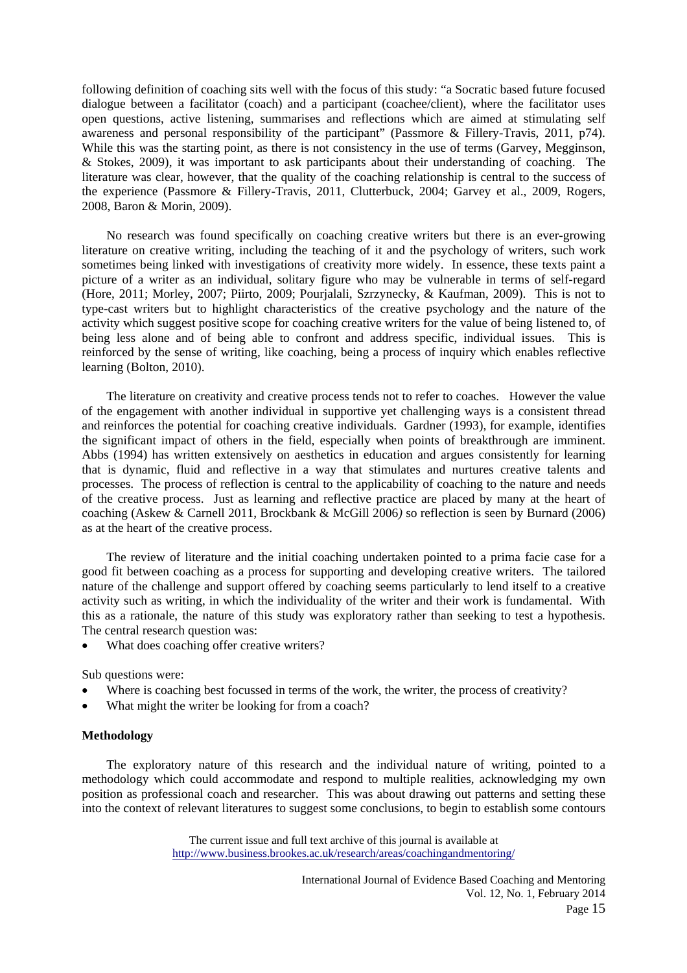following definition of coaching sits well with the focus of this study: "a Socratic based future focused dialogue between a facilitator (coach) and a participant (coachee/client), where the facilitator uses open questions, active listening, summarises and reflections which are aimed at stimulating self awareness and personal responsibility of the participant" (Passmore & Fillery-Travis, 2011, p74). While this was the starting point, as there is not consistency in the use of terms (Garvey, Megginson, & Stokes, 2009), it was important to ask participants about their understanding of coaching. The literature was clear, however, that the quality of the coaching relationship is central to the success of the experience (Passmore & Fillery-Travis, 2011, Clutterbuck, 2004; Garvey et al., 2009, Rogers, 2008, Baron & Morin, 2009).

 No research was found specifically on coaching creative writers but there is an ever-growing literature on creative writing, including the teaching of it and the psychology of writers, such work sometimes being linked with investigations of creativity more widely. In essence, these texts paint a picture of a writer as an individual, solitary figure who may be vulnerable in terms of self-regard (Hore, 2011; Morley, 2007; Piirto, 2009; Pourjalali, Szrzynecky, & Kaufman, 2009). This is not to type-cast writers but to highlight characteristics of the creative psychology and the nature of the activity which suggest positive scope for coaching creative writers for the value of being listened to, of being less alone and of being able to confront and address specific, individual issues. This is reinforced by the sense of writing, like coaching, being a process of inquiry which enables reflective learning (Bolton, 2010).

 The literature on creativity and creative process tends not to refer to coaches. However the value of the engagement with another individual in supportive yet challenging ways is a consistent thread and reinforces the potential for coaching creative individuals. Gardner (1993), for example, identifies the significant impact of others in the field, especially when points of breakthrough are imminent. Abbs (1994) has written extensively on aesthetics in education and argues consistently for learning that is dynamic, fluid and reflective in a way that stimulates and nurtures creative talents and processes. The process of reflection is central to the applicability of coaching to the nature and needs of the creative process. Just as learning and reflective practice are placed by many at the heart of coaching (Askew & Carnell 2011, Brockbank & McGill 2006*)* so reflection is seen by Burnard (2006) as at the heart of the creative process.

 The review of literature and the initial coaching undertaken pointed to a prima facie case for a good fit between coaching as a process for supporting and developing creative writers. The tailored nature of the challenge and support offered by coaching seems particularly to lend itself to a creative activity such as writing, in which the individuality of the writer and their work is fundamental. With this as a rationale, the nature of this study was exploratory rather than seeking to test a hypothesis. The central research question was:

What does coaching offer creative writers?

Sub questions were:

- Where is coaching best focussed in terms of the work, the writer, the process of creativity?
- What might the writer be looking for from a coach?

#### **Methodology**

 The exploratory nature of this research and the individual nature of writing, pointed to a methodology which could accommodate and respond to multiple realities, acknowledging my own position as professional coach and researcher. This was about drawing out patterns and setting these into the context of relevant literatures to suggest some conclusions, to begin to establish some contours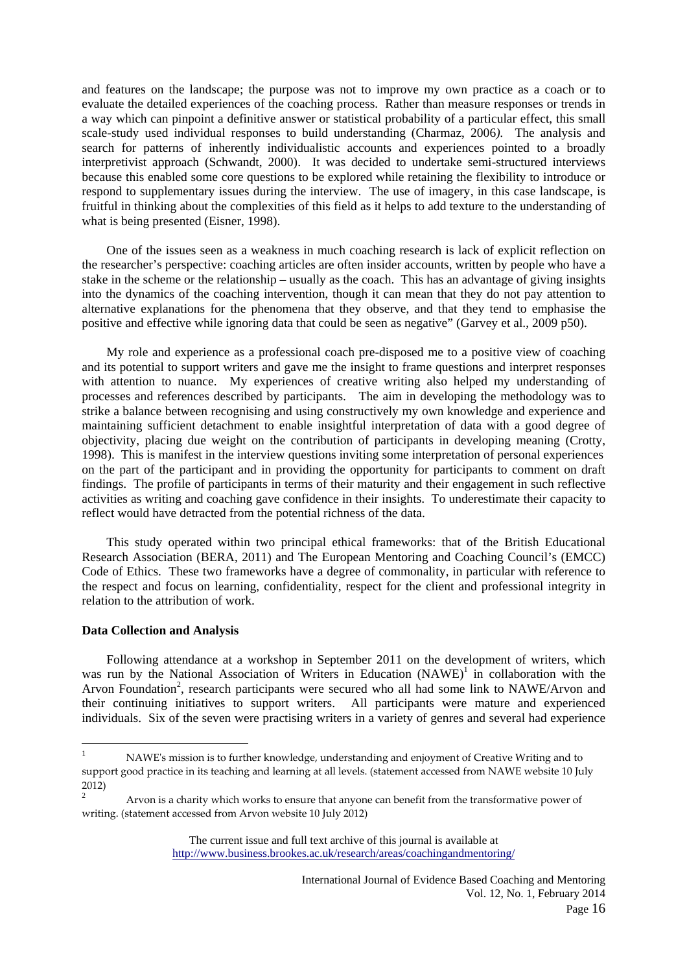and features on the landscape; the purpose was not to improve my own practice as a coach or to evaluate the detailed experiences of the coaching process. Rather than measure responses or trends in a way which can pinpoint a definitive answer or statistical probability of a particular effect, this small scale-study used individual responses to build understanding (Charmaz, 2006*).* The analysis and search for patterns of inherently individualistic accounts and experiences pointed to a broadly interpretivist approach (Schwandt, 2000). It was decided to undertake semi-structured interviews because this enabled some core questions to be explored while retaining the flexibility to introduce or respond to supplementary issues during the interview. The use of imagery, in this case landscape, is fruitful in thinking about the complexities of this field as it helps to add texture to the understanding of what is being presented (Eisner, 1998).

 One of the issues seen as a weakness in much coaching research is lack of explicit reflection on the researcher's perspective: coaching articles are often insider accounts, written by people who have a stake in the scheme or the relationship – usually as the coach. This has an advantage of giving insights into the dynamics of the coaching intervention, though it can mean that they do not pay attention to alternative explanations for the phenomena that they observe, and that they tend to emphasise the positive and effective while ignoring data that could be seen as negative" (Garvey et al., 2009 p50).

 My role and experience as a professional coach pre-disposed me to a positive view of coaching and its potential to support writers and gave me the insight to frame questions and interpret responses with attention to nuance. My experiences of creative writing also helped my understanding of processes and references described by participants. The aim in developing the methodology was to strike a balance between recognising and using constructively my own knowledge and experience and maintaining sufficient detachment to enable insightful interpretation of data with a good degree of objectivity, placing due weight on the contribution of participants in developing meaning (Crotty, 1998). This is manifest in the interview questions inviting some interpretation of personal experiences on the part of the participant and in providing the opportunity for participants to comment on draft findings. The profile of participants in terms of their maturity and their engagement in such reflective activities as writing and coaching gave confidence in their insights. To underestimate their capacity to reflect would have detracted from the potential richness of the data.

 This study operated within two principal ethical frameworks: that of the British Educational Research Association (BERA, 2011) and The European Mentoring and Coaching Council's (EMCC) Code of Ethics. These two frameworks have a degree of commonality, in particular with reference to the respect and focus on learning, confidentiality, respect for the client and professional integrity in relation to the attribution of work.

# **Data Collection and Analysis**

 $\overline{a}$ 

 Following attendance at a workshop in September 2011 on the development of writers, which was run by the National Association of Writers in Education  $(NAWE)^{1}$  in collaboration with the Arvon Foundation<sup>2</sup>, research participants were secured who all had some link to NAWE/Arvon and their continuing initiatives to support writers. All participants were mature and experienced individuals. Six of the seven were practising writers in a variety of genres and several had experience

<sup>1</sup> NAWEʹs mission is to further knowledge, understanding and enjoyment of Creative Writing and to support good practice in its teaching and learning at all levels. (statement accessed from NAWE website 10 July 2012)

<sup>2</sup> Arvon is a charity which works to ensure that anyone can benefit from the transformative power of writing. (statement accessed from Arvon website 10 July 2012)

The current issue and full text archive of this journal is available at http://www.business.brookes.ac.uk/research/areas/coachingandmentoring/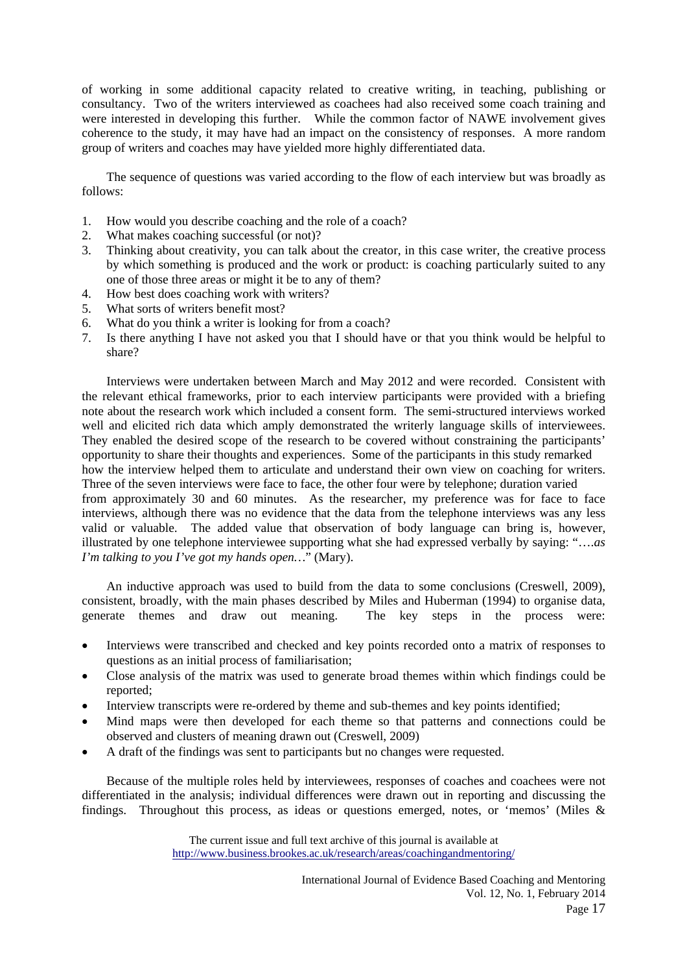of working in some additional capacity related to creative writing, in teaching, publishing or consultancy. Two of the writers interviewed as coachees had also received some coach training and were interested in developing this further. While the common factor of NAWE involvement gives coherence to the study, it may have had an impact on the consistency of responses. A more random group of writers and coaches may have yielded more highly differentiated data.

 The sequence of questions was varied according to the flow of each interview but was broadly as follows:

- 1. How would you describe coaching and the role of a coach?
- 2. What makes coaching successful (or not)?
- 3. Thinking about creativity, you can talk about the creator, in this case writer, the creative process by which something is produced and the work or product: is coaching particularly suited to any one of those three areas or might it be to any of them?
- 4. How best does coaching work with writers?
- 5. What sorts of writers benefit most?
- 6. What do you think a writer is looking for from a coach?
- 7. Is there anything I have not asked you that I should have or that you think would be helpful to share?

 Interviews were undertaken between March and May 2012 and were recorded. Consistent with the relevant ethical frameworks, prior to each interview participants were provided with a briefing note about the research work which included a consent form. The semi-structured interviews worked well and elicited rich data which amply demonstrated the writerly language skills of interviewees. They enabled the desired scope of the research to be covered without constraining the participants' opportunity to share their thoughts and experiences. Some of the participants in this study remarked how the interview helped them to articulate and understand their own view on coaching for writers. Three of the seven interviews were face to face, the other four were by telephone; duration varied from approximately 30 and 60 minutes. As the researcher, my preference was for face to face interviews, although there was no evidence that the data from the telephone interviews was any less valid or valuable. The added value that observation of body language can bring is, however, illustrated by one telephone interviewee supporting what she had expressed verbally by saying: "….*as I'm talking to you I've got my hands open…*" (Mary).

 An inductive approach was used to build from the data to some conclusions (Creswell, 2009), consistent, broadly, with the main phases described by Miles and Huberman (1994) to organise data, generate themes and draw out meaning. The key steps in the process were:

- Interviews were transcribed and checked and key points recorded onto a matrix of responses to questions as an initial process of familiarisation;
- Close analysis of the matrix was used to generate broad themes within which findings could be reported;
- Interview transcripts were re-ordered by theme and sub-themes and key points identified;
- Mind maps were then developed for each theme so that patterns and connections could be observed and clusters of meaning drawn out (Creswell, 2009)
- A draft of the findings was sent to participants but no changes were requested.

 Because of the multiple roles held by interviewees, responses of coaches and coachees were not differentiated in the analysis; individual differences were drawn out in reporting and discussing the findings. Throughout this process, as ideas or questions emerged, notes, or 'memos' (Miles &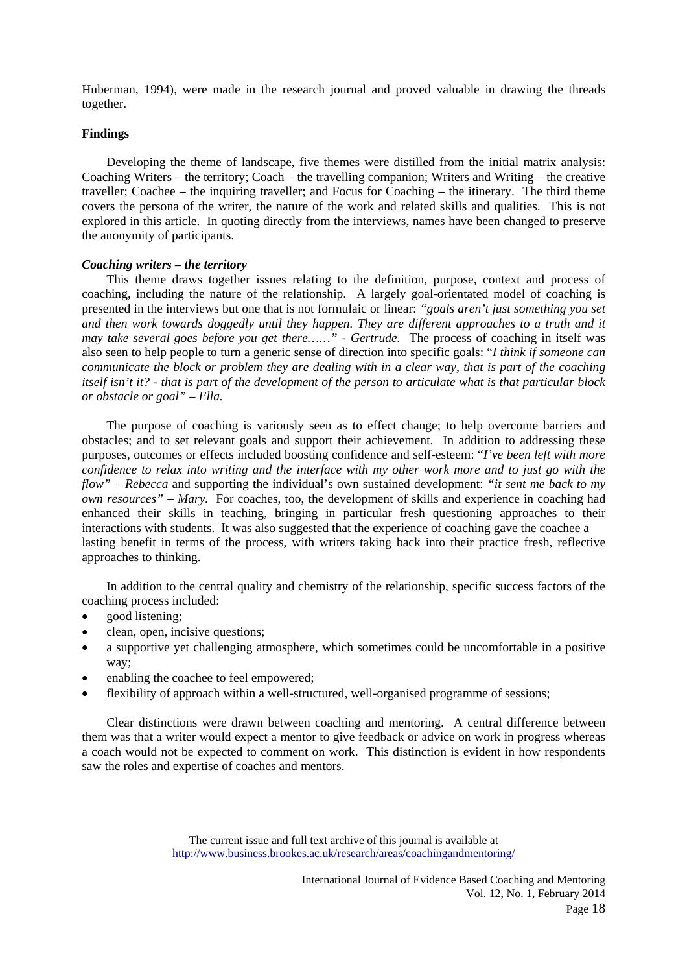Huberman, 1994), were made in the research journal and proved valuable in drawing the threads together.

## **Findings**

 Developing the theme of landscape, five themes were distilled from the initial matrix analysis: Coaching Writers – the territory; Coach – the travelling companion; Writers and Writing – the creative traveller; Coachee – the inquiring traveller; and Focus for Coaching – the itinerary. The third theme covers the persona of the writer, the nature of the work and related skills and qualities. This is not explored in this article. In quoting directly from the interviews, names have been changed to preserve the anonymity of participants.

## *Coaching writers – the territory*

 This theme draws together issues relating to the definition, purpose, context and process of coaching, including the nature of the relationship. A largely goal-orientated model of coaching is presented in the interviews but one that is not formulaic or linear: *"goals aren't just something you set*  and then work towards doggedly until they happen. They are different approaches to a truth and it *may take several goes before you get there……" - Gertrude.* The process of coaching in itself was also seen to help people to turn a generic sense of direction into specific goals: "*I think if someone can communicate the block or problem they are dealing with in a clear way, that is part of the coaching itself isn't it? - that is part of the development of the person to articulate what is that particular block or obstacle or goal" – Ella.*

 The purpose of coaching is variously seen as to effect change; to help overcome barriers and obstacles; and to set relevant goals and support their achievement. In addition to addressing these purposes, outcomes or effects included boosting confidence and self-esteem: "*I've been left with more confidence to relax into writing and the interface with my other work more and to just go with the flow" – Rebecca* and supporting the individual's own sustained development: *"it sent me back to my own resources" – Mary.* For coaches, too, the development of skills and experience in coaching had enhanced their skills in teaching, bringing in particular fresh questioning approaches to their interactions with students. It was also suggested that the experience of coaching gave the coachee a lasting benefit in terms of the process, with writers taking back into their practice fresh, reflective approaches to thinking.

 In addition to the central quality and chemistry of the relationship, specific success factors of the coaching process included:

- good listening;
- clean, open, incisive questions;
- a supportive yet challenging atmosphere, which sometimes could be uncomfortable in a positive way;
- enabling the coachee to feel empowered;
- flexibility of approach within a well-structured, well-organised programme of sessions;

 Clear distinctions were drawn between coaching and mentoring. A central difference between them was that a writer would expect a mentor to give feedback or advice on work in progress whereas a coach would not be expected to comment on work. This distinction is evident in how respondents saw the roles and expertise of coaches and mentors.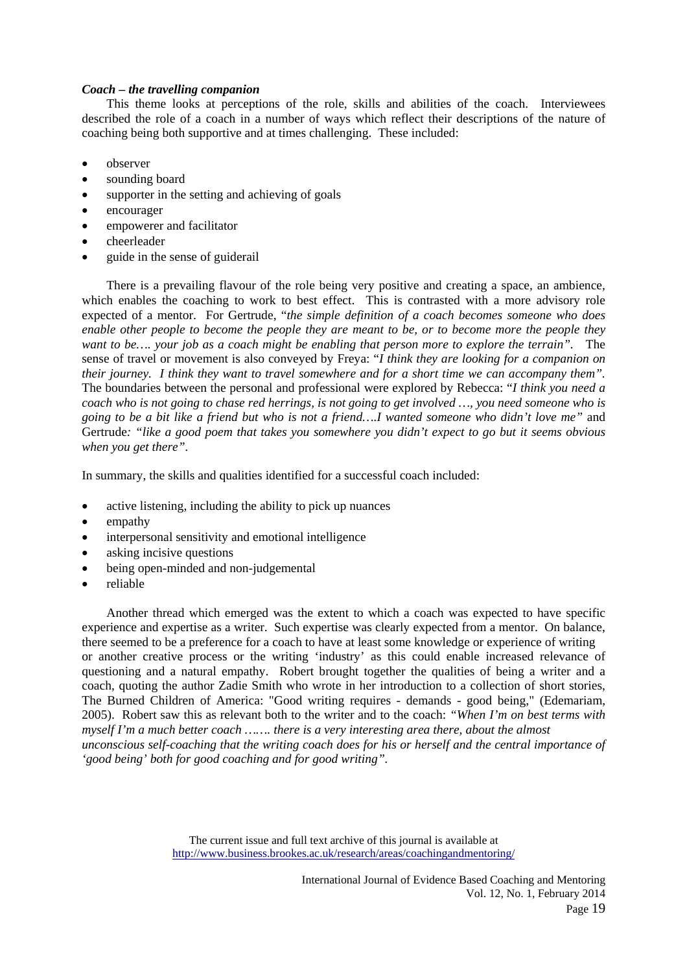# *Coach – the travelling companion*

 This theme looks at perceptions of the role, skills and abilities of the coach. Interviewees described the role of a coach in a number of ways which reflect their descriptions of the nature of coaching being both supportive and at times challenging. These included:

- observer
- sounding board
- supporter in the setting and achieving of goals
- encourager
- empowerer and facilitator
- cheerleader
- guide in the sense of guiderail

 There is a prevailing flavour of the role being very positive and creating a space, an ambience, which enables the coaching to work to best effect. This is contrasted with a more advisory role expected of a mentor. For Gertrude, "*the simple definition of a coach becomes someone who does enable other people to become the people they are meant to be, or to become more the people they want to be…. your job as a coach might be enabling that person more to explore the terrain".* The sense of travel or movement is also conveyed by Freya: "*I think they are looking for a companion on their journey. I think they want to travel somewhere and for a short time we can accompany them".* The boundaries between the personal and professional were explored by Rebecca: "*I think you need a coach who is not going to chase red herrings, is not going to get involved …, you need someone who is going to be a bit like a friend but who is not a friend….I wanted someone who didn't love me"* and Gertrude*: "like a good poem that takes you somewhere you didn't expect to go but it seems obvious when you get there".*

In summary, the skills and qualities identified for a successful coach included:

- active listening, including the ability to pick up nuances
- empathy
- interpersonal sensitivity and emotional intelligence
- asking incisive questions
- being open-minded and non-judgemental
- reliable

 Another thread which emerged was the extent to which a coach was expected to have specific experience and expertise as a writer. Such expertise was clearly expected from a mentor. On balance, there seemed to be a preference for a coach to have at least some knowledge or experience of writing or another creative process or the writing 'industry' as this could enable increased relevance of questioning and a natural empathy. Robert brought together the qualities of being a writer and a coach, quoting the author Zadie Smith who wrote in her introduction to a collection of short stories, The Burned Children of America: "Good writing requires - demands - good being," (Edemariam, 2005). Robert saw this as relevant both to the writer and to the coach: *"When I'm on best terms with myself I'm a much better coach ……. there is a very interesting area there, about the almost unconscious self-coaching that the writing coach does for his or herself and the central importance of 'good being' both for good coaching and for good writing".*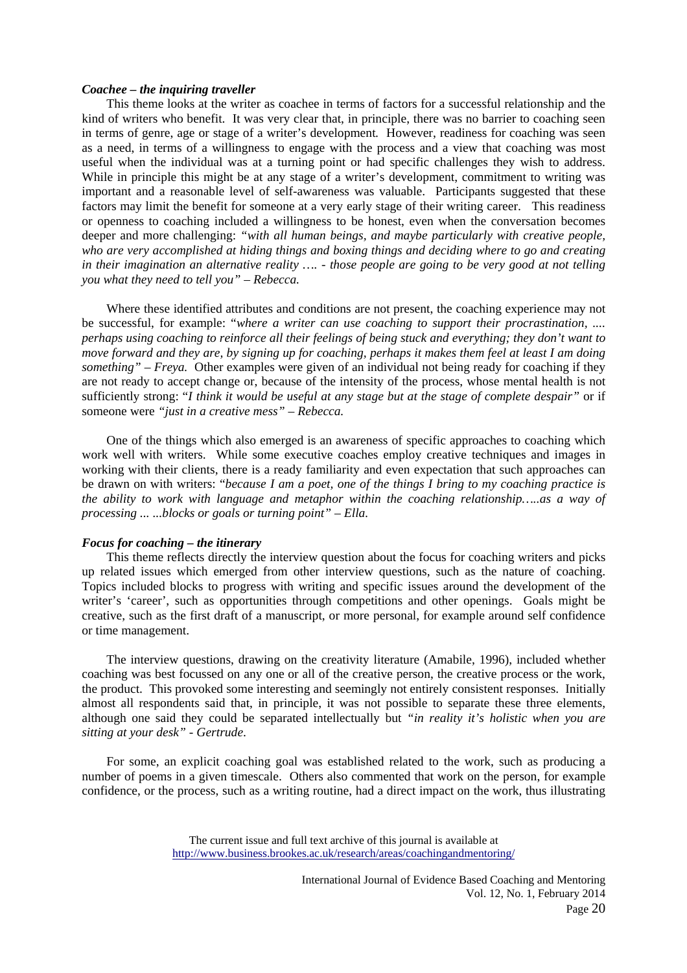## *Coachee – the inquiring traveller*

 This theme looks at the writer as coachee in terms of factors for a successful relationship and the kind of writers who benefit. It was very clear that, in principle, there was no barrier to coaching seen in terms of genre, age or stage of a writer's development*.* However, readiness for coaching was seen as a need, in terms of a willingness to engage with the process and a view that coaching was most useful when the individual was at a turning point or had specific challenges they wish to address. While in principle this might be at any stage of a writer's development, commitment to writing was important and a reasonable level of self-awareness was valuable. Participants suggested that these factors may limit the benefit for someone at a very early stage of their writing career. This readiness or openness to coaching included a willingness to be honest, even when the conversation becomes deeper and more challenging: *"with all human beings, and maybe particularly with creative people, who are very accomplished at hiding things and boxing things and deciding where to go and creating in their imagination an alternative reality …. - those people are going to be very good at not telling you what they need to tell you" – Rebecca.* 

 Where these identified attributes and conditions are not present, the coaching experience may not be successful, for example: "*where a writer can use coaching to support their procrastination, .... perhaps using coaching to reinforce all their feelings of being stuck and everything; they don't want to move forward and they are, by signing up for coaching, perhaps it makes them feel at least I am doing something" – Freya.* Other examples were given of an individual not being ready for coaching if they are not ready to accept change or, because of the intensity of the process, whose mental health is not sufficiently strong: "*I think it would be useful at any stage but at the stage of complete despair"* or if someone were *"just in a creative mess" – Rebecca.*

 One of the things which also emerged is an awareness of specific approaches to coaching which work well with writers. While some executive coaches employ creative techniques and images in working with their clients, there is a ready familiarity and even expectation that such approaches can be drawn on with writers: "*because I am a poet, one of the things I bring to my coaching practice is the ability to work with language and metaphor within the coaching relationship…..as a way of processing ... ...blocks or goals or turning point" – Ella.*

#### *Focus for coaching – the itinerary*

 This theme reflects directly the interview question about the focus for coaching writers and picks up related issues which emerged from other interview questions, such as the nature of coaching. Topics included blocks to progress with writing and specific issues around the development of the writer's 'career', such as opportunities through competitions and other openings. Goals might be creative, such as the first draft of a manuscript, or more personal, for example around self confidence or time management.

 The interview questions, drawing on the creativity literature (Amabile, 1996), included whether coaching was best focussed on any one or all of the creative person, the creative process or the work, the product. This provoked some interesting and seemingly not entirely consistent responses. Initially almost all respondents said that, in principle, it was not possible to separate these three elements, although one said they could be separated intellectually but *"in reality it's holistic when you are sitting at your desk" - Gertrude*.

 For some, an explicit coaching goal was established related to the work, such as producing a number of poems in a given timescale. Others also commented that work on the person, for example confidence, or the process, such as a writing routine, had a direct impact on the work, thus illustrating

The current issue and full text archive of this journal is available at http://www.business.brookes.ac.uk/research/areas/coachingandmentoring/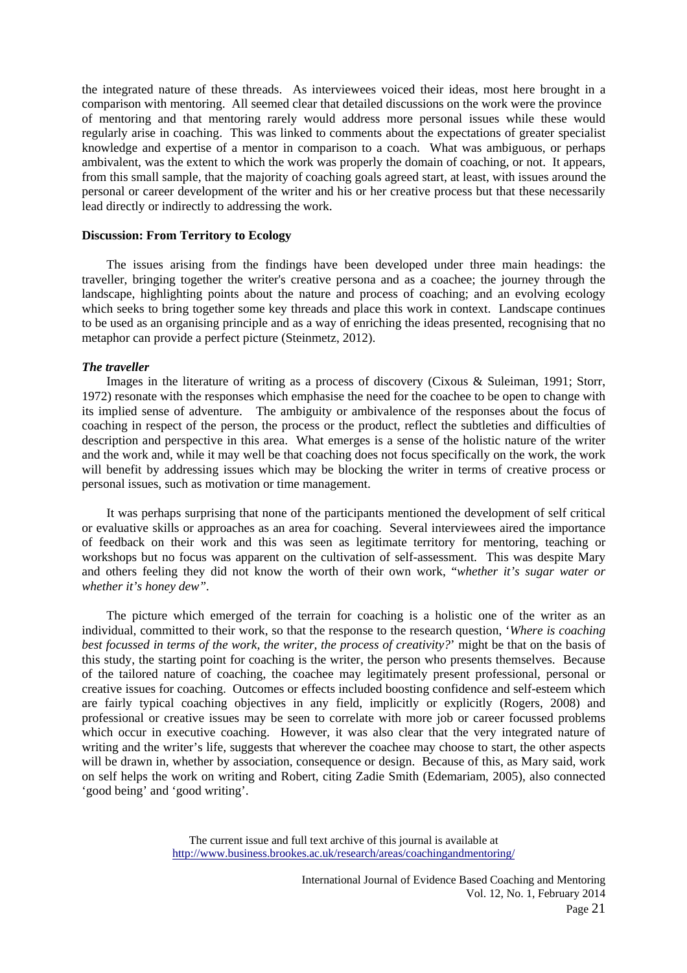the integrated nature of these threads. As interviewees voiced their ideas, most here brought in a comparison with mentoring. All seemed clear that detailed discussions on the work were the province of mentoring and that mentoring rarely would address more personal issues while these would regularly arise in coaching. This was linked to comments about the expectations of greater specialist knowledge and expertise of a mentor in comparison to a coach. What was ambiguous, or perhaps ambivalent, was the extent to which the work was properly the domain of coaching, or not. It appears, from this small sample, that the majority of coaching goals agreed start, at least, with issues around the personal or career development of the writer and his or her creative process but that these necessarily lead directly or indirectly to addressing the work.

## **Discussion: From Territory to Ecology**

 The issues arising from the findings have been developed under three main headings: the traveller, bringing together the writer's creative persona and as a coachee; the journey through the landscape, highlighting points about the nature and process of coaching; and an evolving ecology which seeks to bring together some key threads and place this work in context. Landscape continues to be used as an organising principle and as a way of enriching the ideas presented, recognising that no metaphor can provide a perfect picture (Steinmetz, 2012).

# *The traveller*

 Images in the literature of writing as a process of discovery (Cixous & Suleiman, 1991; Storr, 1972) resonate with the responses which emphasise the need for the coachee to be open to change with its implied sense of adventure. The ambiguity or ambivalence of the responses about the focus of coaching in respect of the person, the process or the product, reflect the subtleties and difficulties of description and perspective in this area. What emerges is a sense of the holistic nature of the writer and the work and, while it may well be that coaching does not focus specifically on the work, the work will benefit by addressing issues which may be blocking the writer in terms of creative process or personal issues, such as motivation or time management.

 It was perhaps surprising that none of the participants mentioned the development of self critical or evaluative skills or approaches as an area for coaching. Several interviewees aired the importance of feedback on their work and this was seen as legitimate territory for mentoring, teaching or workshops but no focus was apparent on the cultivation of self-assessment. This was despite Mary and others feeling they did not know the worth of their own work, "*whether it's sugar water or whether it's honey dew".*

 The picture which emerged of the terrain for coaching is a holistic one of the writer as an individual, committed to their work, so that the response to the research question, '*Where is coaching best focussed in terms of the work, the writer, the process of creativity?*' might be that on the basis of this study, the starting point for coaching is the writer, the person who presents themselves. Because of the tailored nature of coaching, the coachee may legitimately present professional, personal or creative issues for coaching. Outcomes or effects included boosting confidence and self-esteem which are fairly typical coaching objectives in any field, implicitly or explicitly (Rogers, 2008) and professional or creative issues may be seen to correlate with more job or career focussed problems which occur in executive coaching. However, it was also clear that the very integrated nature of writing and the writer's life, suggests that wherever the coachee may choose to start, the other aspects will be drawn in, whether by association, consequence or design. Because of this, as Mary said, work on self helps the work on writing and Robert, citing Zadie Smith (Edemariam, 2005), also connected 'good being' and 'good writing'.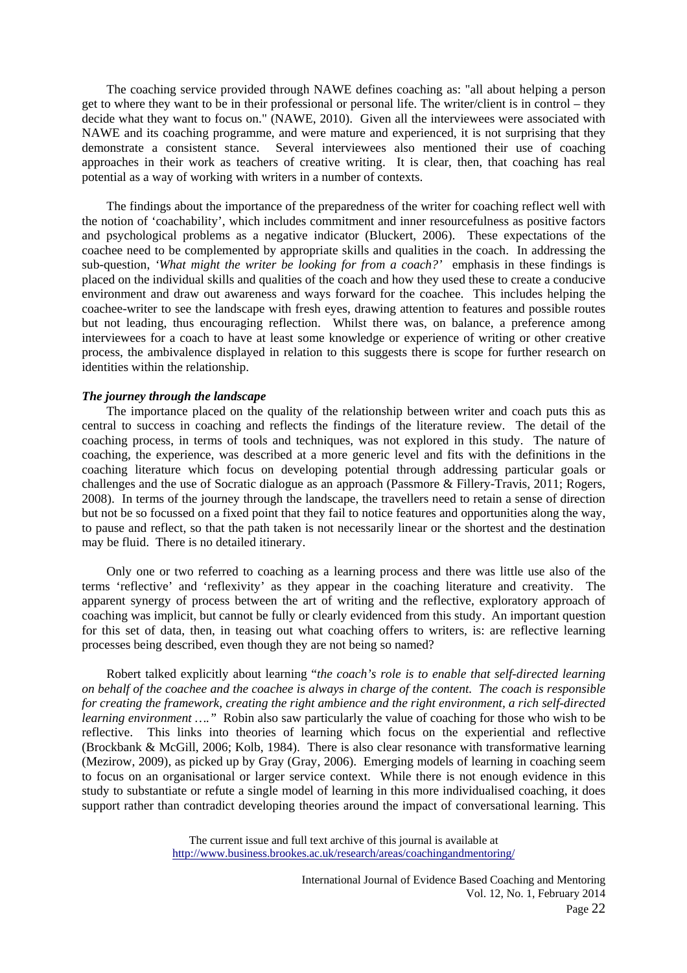The coaching service provided through NAWE defines coaching as: "all about helping a person get to where they want to be in their professional or personal life. The writer/client is in control – they decide what they want to focus on." (NAWE, 2010). Given all the interviewees were associated with NAWE and its coaching programme, and were mature and experienced, it is not surprising that they demonstrate a consistent stance. Several interviewees also mentioned their use of coaching approaches in their work as teachers of creative writing. It is clear, then, that coaching has real potential as a way of working with writers in a number of contexts.

 The findings about the importance of the preparedness of the writer for coaching reflect well with the notion of 'coachability', which includes commitment and inner resourcefulness as positive factors and psychological problems as a negative indicator (Bluckert, 2006). These expectations of the coachee need to be complemented by appropriate skills and qualities in the coach. In addressing the sub-question, *'What might the writer be looking for from a coach?'* emphasis in these findings is placed on the individual skills and qualities of the coach and how they used these to create a conducive environment and draw out awareness and ways forward for the coachee. This includes helping the coachee-writer to see the landscape with fresh eyes, drawing attention to features and possible routes but not leading, thus encouraging reflection. Whilst there was, on balance, a preference among interviewees for a coach to have at least some knowledge or experience of writing or other creative process, the ambivalence displayed in relation to this suggests there is scope for further research on identities within the relationship.

#### *The journey through the landscape*

 The importance placed on the quality of the relationship between writer and coach puts this as central to success in coaching and reflects the findings of the literature review. The detail of the coaching process, in terms of tools and techniques, was not explored in this study. The nature of coaching, the experience, was described at a more generic level and fits with the definitions in the coaching literature which focus on developing potential through addressing particular goals or challenges and the use of Socratic dialogue as an approach (Passmore & Fillery-Travis, 2011; Rogers, 2008). In terms of the journey through the landscape, the travellers need to retain a sense of direction but not be so focussed on a fixed point that they fail to notice features and opportunities along the way, to pause and reflect, so that the path taken is not necessarily linear or the shortest and the destination may be fluid. There is no detailed itinerary.

 Only one or two referred to coaching as a learning process and there was little use also of the terms 'reflective' and 'reflexivity' as they appear in the coaching literature and creativity. The apparent synergy of process between the art of writing and the reflective, exploratory approach of coaching was implicit, but cannot be fully or clearly evidenced from this study. An important question for this set of data, then, in teasing out what coaching offers to writers, is: are reflective learning processes being described, even though they are not being so named?

 Robert talked explicitly about learning "*the coach's role is to enable that self-directed learning on behalf of the coachee and the coachee is always in charge of the content. The coach is responsible for creating the framework, creating the right ambience and the right environment, a rich self-directed learning environment ....*" Robin also saw particularly the value of coaching for those who wish to be reflective. This links into theories of learning which focus on the experiential and reflective (Brockbank & McGill, 2006; Kolb, 1984). There is also clear resonance with transformative learning (Mezirow, 2009), as picked up by Gray (Gray, 2006). Emerging models of learning in coaching seem to focus on an organisational or larger service context. While there is not enough evidence in this study to substantiate or refute a single model of learning in this more individualised coaching, it does support rather than contradict developing theories around the impact of conversational learning. This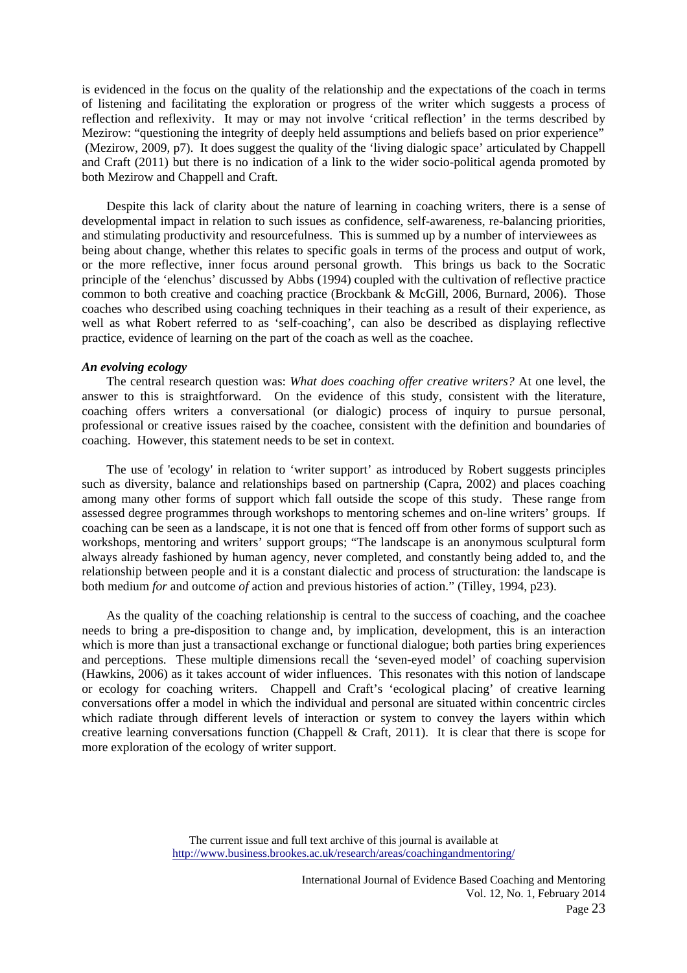is evidenced in the focus on the quality of the relationship and the expectations of the coach in terms of listening and facilitating the exploration or progress of the writer which suggests a process of reflection and reflexivity. It may or may not involve 'critical reflection' in the terms described by Mezirow: "questioning the integrity of deeply held assumptions and beliefs based on prior experience" (Mezirow, 2009, p7). It does suggest the quality of the 'living dialogic space' articulated by Chappell and Craft (2011) but there is no indication of a link to the wider socio-political agenda promoted by both Mezirow and Chappell and Craft.

 Despite this lack of clarity about the nature of learning in coaching writers, there is a sense of developmental impact in relation to such issues as confidence, self-awareness, re-balancing priorities, and stimulating productivity and resourcefulness. This is summed up by a number of interviewees as being about change, whether this relates to specific goals in terms of the process and output of work, or the more reflective, inner focus around personal growth. This brings us back to the Socratic principle of the 'elenchus' discussed by Abbs (1994) coupled with the cultivation of reflective practice common to both creative and coaching practice (Brockbank & McGill, 2006, Burnard, 2006). Those coaches who described using coaching techniques in their teaching as a result of their experience, as well as what Robert referred to as 'self-coaching', can also be described as displaying reflective practice, evidence of learning on the part of the coach as well as the coachee.

#### *An evolving ecology*

 The central research question was: *What does coaching offer creative writers?* At one level, the answer to this is straightforward. On the evidence of this study, consistent with the literature, coaching offers writers a conversational (or dialogic) process of inquiry to pursue personal, professional or creative issues raised by the coachee, consistent with the definition and boundaries of coaching. However, this statement needs to be set in context.

 The use of 'ecology' in relation to 'writer support' as introduced by Robert suggests principles such as diversity, balance and relationships based on partnership (Capra, 2002) and places coaching among many other forms of support which fall outside the scope of this study. These range from assessed degree programmes through workshops to mentoring schemes and on-line writers' groups. If coaching can be seen as a landscape, it is not one that is fenced off from other forms of support such as workshops, mentoring and writers' support groups; "The landscape is an anonymous sculptural form always already fashioned by human agency, never completed, and constantly being added to, and the relationship between people and it is a constant dialectic and process of structuration: the landscape is both medium *for* and outcome *of* action and previous histories of action." (Tilley, 1994, p23).

 As the quality of the coaching relationship is central to the success of coaching, and the coachee needs to bring a pre-disposition to change and, by implication, development, this is an interaction which is more than just a transactional exchange or functional dialogue; both parties bring experiences and perceptions. These multiple dimensions recall the 'seven-eyed model' of coaching supervision (Hawkins, 2006) as it takes account of wider influences. This resonates with this notion of landscape or ecology for coaching writers. Chappell and Craft's 'ecological placing' of creative learning conversations offer a model in which the individual and personal are situated within concentric circles which radiate through different levels of interaction or system to convey the layers within which creative learning conversations function (Chappell & Craft, 2011). It is clear that there is scope for more exploration of the ecology of writer support.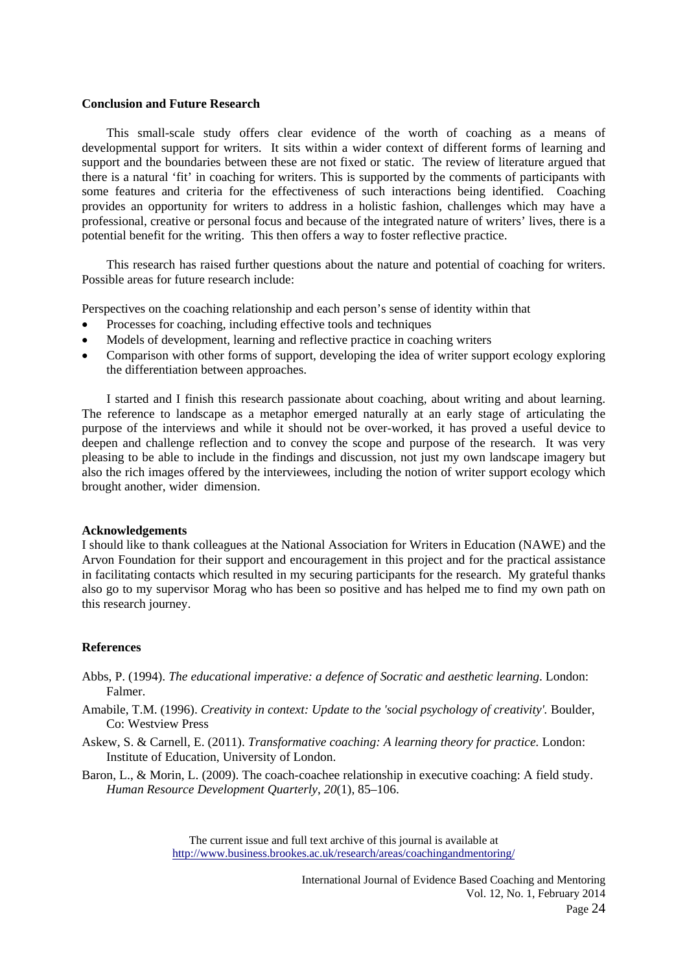## **Conclusion and Future Research**

 This small-scale study offers clear evidence of the worth of coaching as a means of developmental support for writers. It sits within a wider context of different forms of learning and support and the boundaries between these are not fixed or static. The review of literature argued that there is a natural 'fit' in coaching for writers. This is supported by the comments of participants with some features and criteria for the effectiveness of such interactions being identified. Coaching provides an opportunity for writers to address in a holistic fashion, challenges which may have a professional, creative or personal focus and because of the integrated nature of writers' lives, there is a potential benefit for the writing. This then offers a way to foster reflective practice.

 This research has raised further questions about the nature and potential of coaching for writers. Possible areas for future research include:

Perspectives on the coaching relationship and each person's sense of identity within that

- Processes for coaching, including effective tools and techniques
- Models of development, learning and reflective practice in coaching writers
- Comparison with other forms of support, developing the idea of writer support ecology exploring the differentiation between approaches.

 I started and I finish this research passionate about coaching, about writing and about learning. The reference to landscape as a metaphor emerged naturally at an early stage of articulating the purpose of the interviews and while it should not be over-worked, it has proved a useful device to deepen and challenge reflection and to convey the scope and purpose of the research. It was very pleasing to be able to include in the findings and discussion, not just my own landscape imagery but also the rich images offered by the interviewees, including the notion of writer support ecology which brought another, wider dimension.

## **Acknowledgements**

I should like to thank colleagues at the National Association for Writers in Education (NAWE) and the Arvon Foundation for their support and encouragement in this project and for the practical assistance in facilitating contacts which resulted in my securing participants for the research. My grateful thanks also go to my supervisor Morag who has been so positive and has helped me to find my own path on this research journey.

## **References**

- Abbs, P. (1994). *The educational imperative: a defence of Socratic and aesthetic learning*. London: Falmer.
- Amabile, T.M. (1996). *Creativity in context: Update to the 'social psychology of creativity'*. Boulder, Co: Westview Press
- Askew, S. & Carnell, E. (2011). *Transformative coaching: A learning theory for practice.* London: Institute of Education, University of London.
- Baron, L., & Morin, L. (2009). The coach-coachee relationship in executive coaching: A field study. *Human Resource Development Quarterly*, *20*(1), 85–106.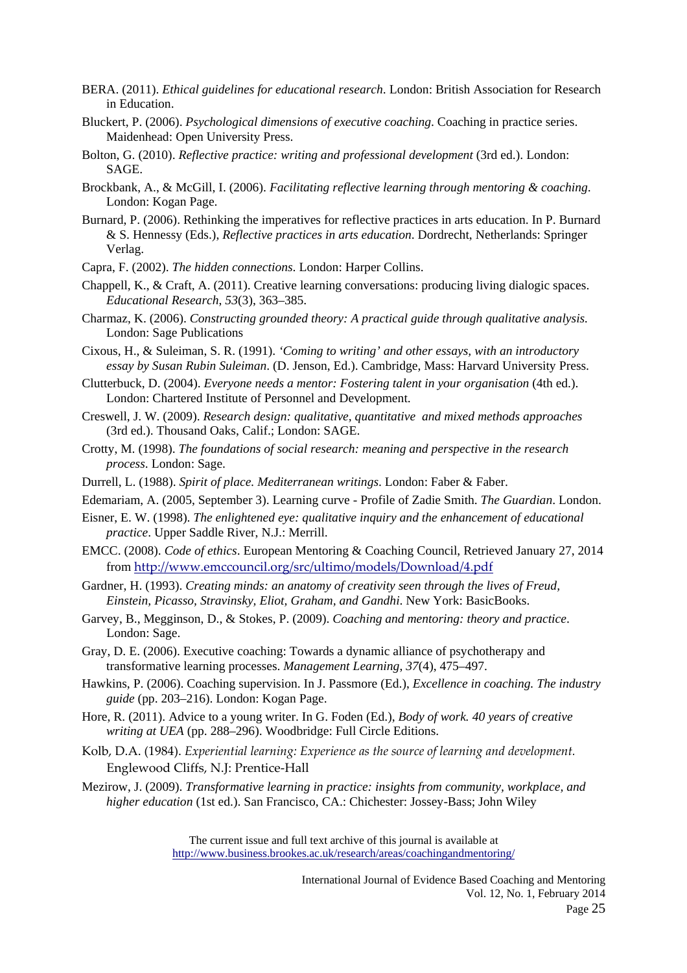- BERA. (2011). *Ethical guidelines for educational research*. London: British Association for Research in Education.
- Bluckert, P. (2006). *Psychological dimensions of executive coaching*. Coaching in practice series. Maidenhead: Open University Press.
- Bolton, G. (2010). *Reflective practice: writing and professional development* (3rd ed.). London: SAGE.
- Brockbank, A., & McGill, I. (2006). *Facilitating reflective learning through mentoring & coaching*. London: Kogan Page.
- Burnard, P. (2006). Rethinking the imperatives for reflective practices in arts education. In P. Burnard & S. Hennessy (Eds.), *Reflective practices in arts education*. Dordrecht, Netherlands: Springer Verlag.
- Capra, F. (2002). *The hidden connections*. London: Harper Collins.
- Chappell, K., & Craft, A. (2011). Creative learning conversations: producing living dialogic spaces. *Educational Research*, *53*(3), 363–385.
- Charmaz, K. (2006). *Constructing grounded theory: A practical guide through qualitative analysis.*  London: Sage Publications
- Cixous, H., & Suleiman, S. R. (1991). *'Coming to writing' and other essays, with an introductory essay by Susan Rubin Suleiman*. (D. Jenson, Ed.). Cambridge, Mass: Harvard University Press.
- Clutterbuck, D. (2004). *Everyone needs a mentor: Fostering talent in your organisation* (4th ed.). London: Chartered Institute of Personnel and Development.
- Creswell, J. W. (2009). *Research design: qualitative, quantitative and mixed methods approaches* (3rd ed.). Thousand Oaks, Calif.; London: SAGE.
- Crotty, M. (1998). *The foundations of social research: meaning and perspective in the research process*. London: Sage.
- Durrell, L. (1988). *Spirit of place. Mediterranean writings*. London: Faber & Faber.
- Edemariam, A. (2005, September 3). Learning curve Profile of Zadie Smith. *The Guardian*. London.
- Eisner, E. W. (1998). *The enlightened eye: qualitative inquiry and the enhancement of educational practice*. Upper Saddle River, N.J.: Merrill.
- EMCC. (2008). *Code of ethics*. European Mentoring & Coaching Council, Retrieved January 27, 2014 from http://www.emccouncil.org/src/ultimo/models/Download/4.pdf
- Gardner, H. (1993). *Creating minds: an anatomy of creativity seen through the lives of Freud, Einstein, Picasso, Stravinsky, Eliot, Graham, and Gandhi*. New York: BasicBooks.
- Garvey, B., Megginson, D., & Stokes, P. (2009). *Coaching and mentoring: theory and practice*. London: Sage.
- Gray, D. E. (2006). Executive coaching: Towards a dynamic alliance of psychotherapy and transformative learning processes. *Management Learning*, *37*(4), 475–497.
- Hawkins, P. (2006). Coaching supervision. In J. Passmore (Ed.), *Excellence in coaching. The industry guide* (pp. 203–216). London: Kogan Page.
- Hore, R. (2011). Advice to a young writer. In G. Foden (Ed.), *Body of work. 40 years of creative writing at UEA* (pp. 288–296). Woodbridge: Full Circle Editions.
- Kolb, D.A. (1984). *Experiential learning: Experience as the source of learning and development.* Englewood Cliffs, N.J: Prentice-Hall
- Mezirow, J. (2009). *Transformative learning in practice: insights from community, workplace, and higher education* (1st ed.). San Francisco, CA.: Chichester: Jossey-Bass; John Wiley